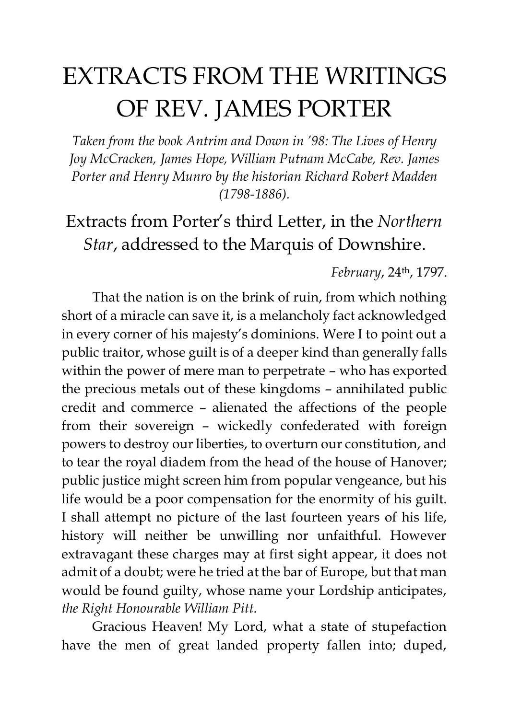# EXTRACTS FROM THE WRITINGS OF REV. JAMES PORTER

*Taken from the book Antrim and Down in '98: The Lives of Henry Joy McCracken, James Hope, William Putnam McCabe, Rev. James Porter and Henry Munro by the historian Richard Robert Madden (1798-1886).*

## Extracts from Porter's third Letter, in the *Northern Star*, addressed to the Marquis of Downshire.

#### *February*, 24th, 1797.

That the nation is on the brink of ruin, from which nothing short of a miracle can save it, is a melancholy fact acknowledged in every corner of his majesty's dominions. Were I to point out a public traitor, whose guilt is of a deeper kind than generally falls within the power of mere man to perpetrate – who has exported the precious metals out of these kingdoms – annihilated public credit and commerce – alienated the affections of the people from their sovereign – wickedly confederated with foreign powers to destroy our liberties, to overturn our constitution, and to tear the royal diadem from the head of the house of Hanover; public justice might screen him from popular vengeance, but his life would be a poor compensation for the enormity of his guilt. I shall attempt no picture of the last fourteen years of his life, history will neither be unwilling nor unfaithful. However extravagant these charges may at first sight appear, it does not admit of a doubt; were he tried at the bar of Europe, but that man would be found guilty, whose name your Lordship anticipates, *the Right Honourable William Pitt.*

Gracious Heaven! My Lord, what a state of stupefaction have the men of great landed property fallen into; duped,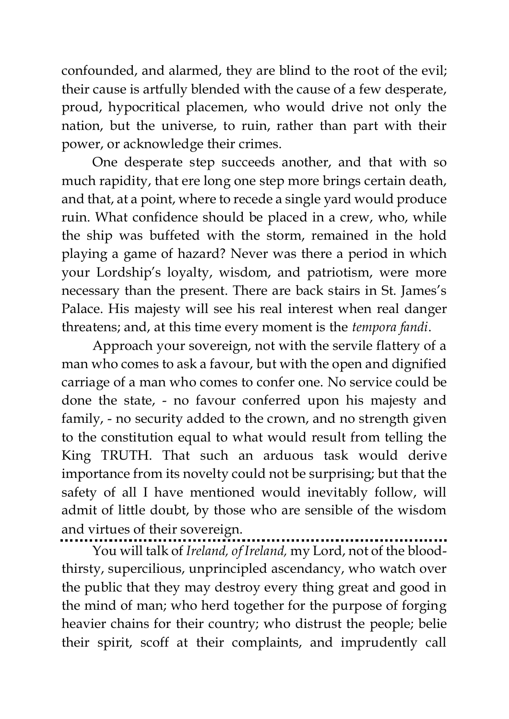confounded, and alarmed, they are blind to the root of the evil; their cause is artfully blended with the cause of a few desperate, proud, hypocritical placemen, who would drive not only the nation, but the universe, to ruin, rather than part with their power, or acknowledge their crimes.

One desperate step succeeds another, and that with so much rapidity, that ere long one step more brings certain death, and that, at a point, where to recede a single yard would produce ruin. What confidence should be placed in a crew, who, while the ship was buffeted with the storm, remained in the hold playing a game of hazard? Never was there a period in which your Lordship's loyalty, wisdom, and patriotism, were more necessary than the present. There are back stairs in St. James's Palace. His majesty will see his real interest when real danger threatens; and, at this time every moment is the *tempora fandi*.

Approach your sovereign, not with the servile flattery of a man who comes to ask a favour, but with the open and dignified carriage of a man who comes to confer one. No service could be done the state, - no favour conferred upon his majesty and family, - no security added to the crown, and no strength given to the constitution equal to what would result from telling the King TRUTH. That such an arduous task would derive importance from its novelty could not be surprising; but that the safety of all I have mentioned would inevitably follow, will admit of little doubt, by those who are sensible of the wisdom and virtues of their sovereign.

You will talk of *Ireland, of Ireland,* my Lord, not of the bloodthirsty, supercilious, unprincipled ascendancy, who watch over the public that they may destroy every thing great and good in the mind of man; who herd together for the purpose of forging heavier chains for their country; who distrust the people; belie their spirit, scoff at their complaints, and imprudently call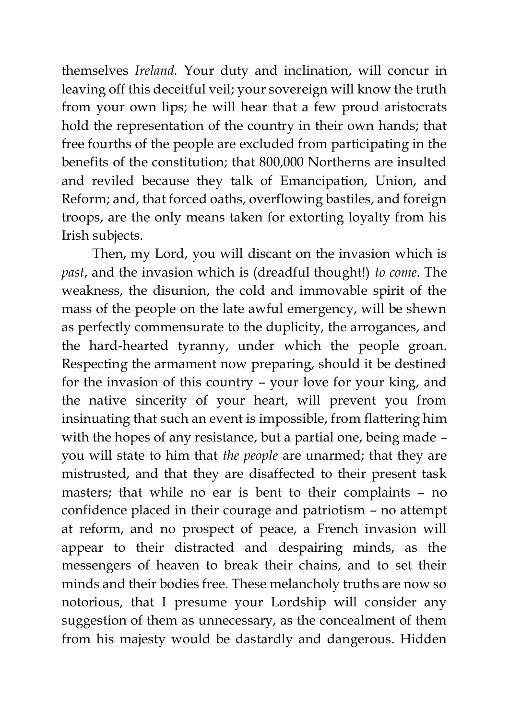themselves *Ireland.* Your duty and inclination, will concur in leaving off this deceitful veil; your sovereign will know the truth from your own lips; he will hear that a few proud aristocrats hold the representation of the country in their own hands; that free fourths of the people are excluded from participating in the benefits of the constitution; that 800,000 Northerns are insulted and reviled because they talk of Emancipation, Union, and Reform; and, that forced oaths, overflowing bastiles, and foreign troops, are the only means taken for extorting loyalty from his Irish subjects.

Then, my Lord, you will discant on the invasion which is *past*, and the invasion which is (dreadful thought!) *to come.* The weakness, the disunion, the cold and immovable spirit of the mass of the people on the late awful emergency, will be shewn as perfectly commensurate to the duplicity, the arrogances, and the hard-hearted tyranny, under which the people groan. Respecting the armament now preparing, should it be destined for the invasion of this country – your love for your king, and the native sincerity of your heart, will prevent you from insinuating that such an event is impossible, from flattering him with the hopes of any resistance, but a partial one, being made – you will state to him that *the people* are unarmed; that they are mistrusted, and that they are disaffected to their present task masters; that while no ear is bent to their complaints – no confidence placed in their courage and patriotism – no attempt at reform, and no prospect of peace, a French invasion will appear to their distracted and despairing minds, as the messengers of heaven to break their chains, and to set their minds and their bodies free. These melancholy truths are now so notorious, that I presume your Lordship will consider any suggestion of them as unnecessary, as the concealment of them from his majesty would be dastardly and dangerous. Hidden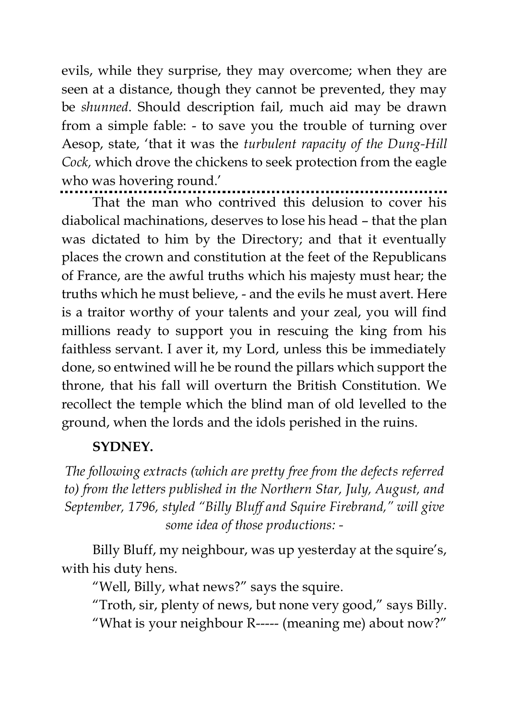evils, while they surprise, they may overcome; when they are seen at a distance, though they cannot be prevented, they may be *shunned*. Should description fail, much aid may be drawn from a simple fable: - to save you the trouble of turning over Aesop, state, 'that it was the *turbulent rapacity of the Dung-Hill Cock,* which drove the chickens to seek protection from the eagle who was hovering round.'

That the man who contrived this delusion to cover his diabolical machinations, deserves to lose his head – that the plan was dictated to him by the Directory; and that it eventually places the crown and constitution at the feet of the Republicans of France, are the awful truths which his majesty must hear; the truths which he must believe, - and the evils he must avert. Here is a traitor worthy of your talents and your zeal, you will find millions ready to support you in rescuing the king from his faithless servant. I aver it, my Lord, unless this be immediately done, so entwined will he be round the pillars which support the throne, that his fall will overturn the British Constitution. We recollect the temple which the blind man of old levelled to the ground, when the lords and the idols perished in the ruins.

#### **SYDNEY.**

*The following extracts (which are pretty free from the defects referred to) from the letters published in the Northern Star, July, August, and September, 1796, styled "Billy Bluff and Squire Firebrand," will give some idea of those productions: -*

Billy Bluff, my neighbour, was up yesterday at the squire's, with his duty hens.

"Well, Billy, what news?" says the squire.

"Troth, sir, plenty of news, but none very good," says Billy. "What is your neighbour R----- (meaning me) about now?"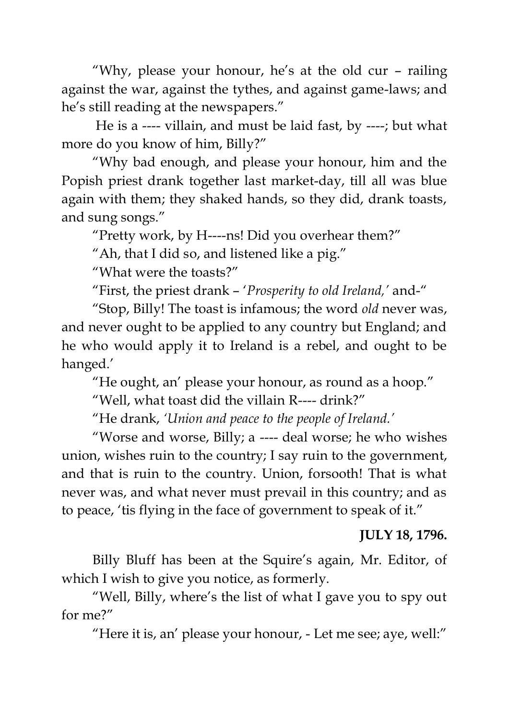"Why, please your honour, he's at the old cur – railing against the war, against the tythes, and against game-laws; and he's still reading at the newspapers."

He is a ---- villain, and must be laid fast, by ----; but what more do you know of him, Billy?"

"Why bad enough, and please your honour, him and the Popish priest drank together last market-day, till all was blue again with them; they shaked hands, so they did, drank toasts, and sung songs."

"Pretty work, by H----ns! Did you overhear them?"

"Ah, that I did so, and listened like a pig."

"What were the toasts?"

"First, the priest drank – '*Prosperity to old Ireland,'* and-"

"Stop, Billy! The toast is infamous; the word *old* never was, and never ought to be applied to any country but England; and he who would apply it to Ireland is a rebel, and ought to be hanged.'

"He ought, an' please your honour, as round as a hoop."

"Well, what toast did the villain R---- drink?"

"He drank, *'Union and peace to the people of Ireland.'*

"Worse and worse, Billy; a ---- deal worse; he who wishes union, wishes ruin to the country; I say ruin to the government, and that is ruin to the country. Union, forsooth! That is what never was, and what never must prevail in this country; and as to peace, 'tis flying in the face of government to speak of it."

#### **JULY 18, 1796.**

Billy Bluff has been at the Squire's again, Mr. Editor, of which I wish to give you notice, as formerly.

"Well, Billy, where's the list of what I gave you to spy out for me?"

"Here it is, an' please your honour, - Let me see; aye, well:"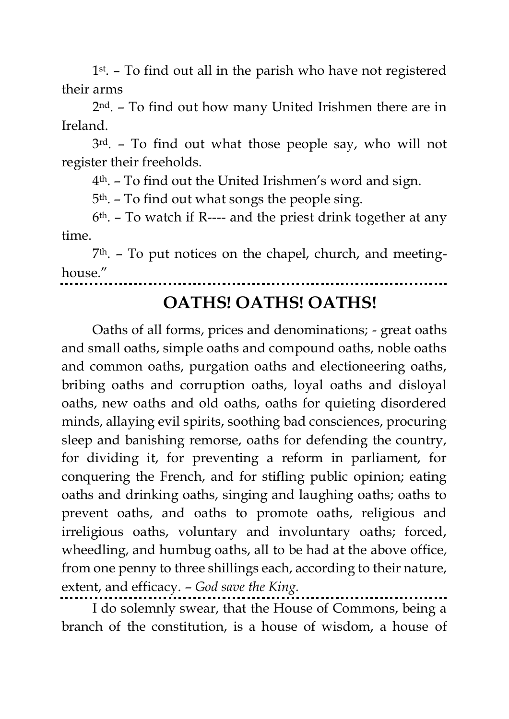1 st . – To find out all in the parish who have not registered their arms

2 nd. – To find out how many United Irishmen there are in Ireland.

3 rd. – To find out what those people say, who will not register their freeholds.

4th. – To find out the United Irishmen's word and sign.

5th. – To find out what songs the people sing.

6 th. – To watch if R---- and the priest drink together at any time.

7 th. – To put notices on the chapel, church, and meetinghouse."

## **OATHS! OATHS! OATHS!**

Oaths of all forms, prices and denominations; - great oaths and small oaths, simple oaths and compound oaths, noble oaths and common oaths, purgation oaths and electioneering oaths, bribing oaths and corruption oaths, loyal oaths and disloyal oaths, new oaths and old oaths, oaths for quieting disordered minds, allaying evil spirits, soothing bad consciences, procuring sleep and banishing remorse, oaths for defending the country, for dividing it, for preventing a reform in parliament, for conquering the French, and for stifling public opinion; eating oaths and drinking oaths, singing and laughing oaths; oaths to prevent oaths, and oaths to promote oaths, religious and irreligious oaths, voluntary and involuntary oaths; forced, wheedling, and humbug oaths, all to be had at the above office, from one penny to three shillings each, according to their nature, extent, and efficacy. – *God save the King.*

I do solemnly swear, that the House of Commons, being a branch of the constitution, is a house of wisdom, a house of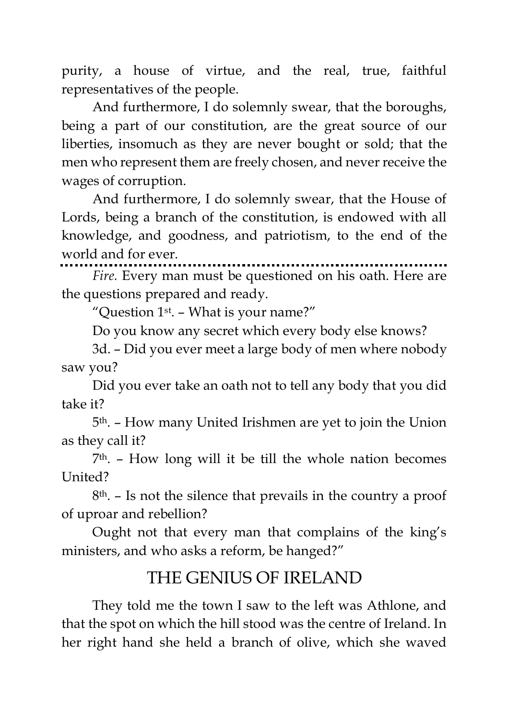purity, a house of virtue, and the real, true, faithful representatives of the people.

And furthermore, I do solemnly swear, that the boroughs, being a part of our constitution, are the great source of our liberties, insomuch as they are never bought or sold; that the men who represent them are freely chosen, and never receive the wages of corruption.

And furthermore, I do solemnly swear, that the House of Lords, being a branch of the constitution, is endowed with all knowledge, and goodness, and patriotism, to the end of the world and for ever.

*Fire.* Every man must be questioned on his oath. Here are the questions prepared and ready.

"Question  $1^\text{st}$ . – What is your name?"

Do you know any secret which every body else knows?

3d. – Did you ever meet a large body of men where nobody saw you?

Did you ever take an oath not to tell any body that you did take it?

5th. – How many United Irishmen are yet to join the Union as they call it?

7 th. – How long will it be till the whole nation becomes United?

8th. – Is not the silence that prevails in the country a proof of uproar and rebellion?

Ought not that every man that complains of the king's ministers, and who asks a reform, be hanged?"

### THE GENIUS OF IRELAND

They told me the town I saw to the left was Athlone, and that the spot on which the hill stood was the centre of Ireland. In her right hand she held a branch of olive, which she waved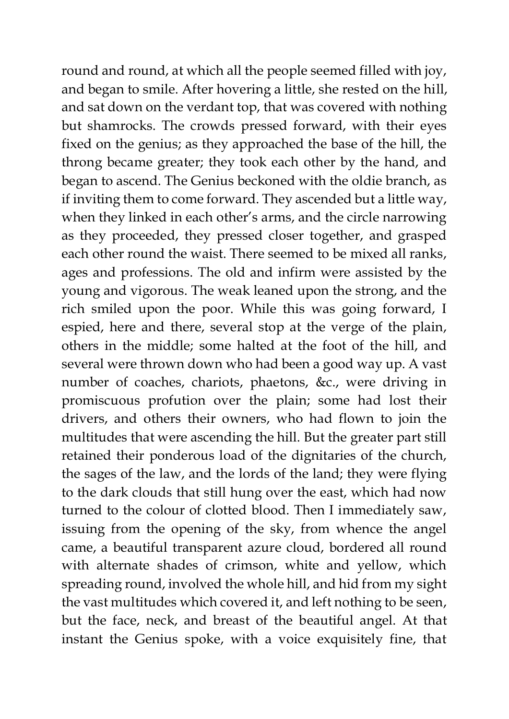round and round, at which all the people seemed filled with joy, and began to smile. After hovering a little, she rested on the hill, and sat down on the verdant top, that was covered with nothing but shamrocks. The crowds pressed forward, with their eyes fixed on the genius; as they approached the base of the hill, the throng became greater; they took each other by the hand, and began to ascend. The Genius beckoned with the oldie branch, as if inviting them to come forward. They ascended but a little way, when they linked in each other's arms, and the circle narrowing as they proceeded, they pressed closer together, and grasped each other round the waist. There seemed to be mixed all ranks, ages and professions. The old and infirm were assisted by the young and vigorous. The weak leaned upon the strong, and the rich smiled upon the poor. While this was going forward, I espied, here and there, several stop at the verge of the plain, others in the middle; some halted at the foot of the hill, and several were thrown down who had been a good way up. A vast number of coaches, chariots, phaetons, &c., were driving in promiscuous profution over the plain; some had lost their drivers, and others their owners, who had flown to join the multitudes that were ascending the hill. But the greater part still retained their ponderous load of the dignitaries of the church, the sages of the law, and the lords of the land; they were flying to the dark clouds that still hung over the east, which had now turned to the colour of clotted blood. Then I immediately saw, issuing from the opening of the sky, from whence the angel came, a beautiful transparent azure cloud, bordered all round with alternate shades of crimson, white and yellow, which spreading round, involved the whole hill, and hid from my sight the vast multitudes which covered it, and left nothing to be seen, but the face, neck, and breast of the beautiful angel. At that instant the Genius spoke, with a voice exquisitely fine, that